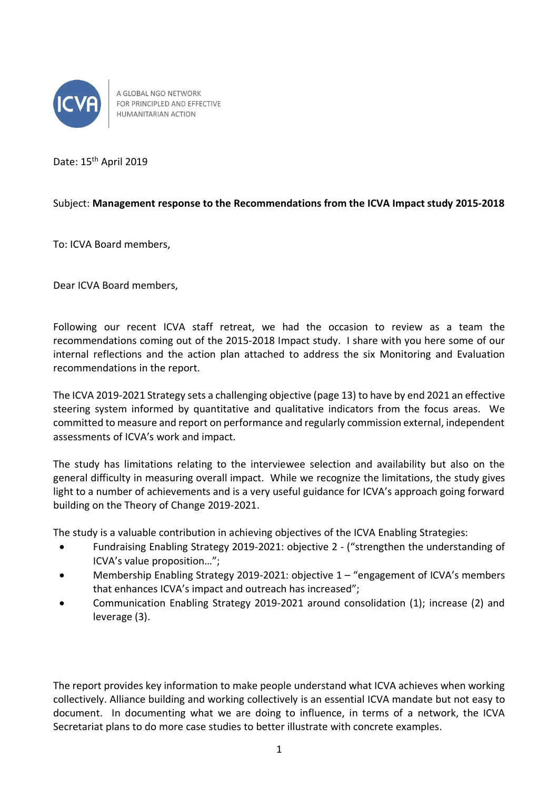

A GLOBAL NGO NETWORK FOR PRINCIPLED AND EFFECTIVE HUMANITARIAN ACTION

Date: 15<sup>th</sup> April 2019

## Subject: **Management response to the Recommendations from the ICVA Impact study 2015-2018**

To: ICVA Board members,

Dear ICVA Board members,

Following our recent ICVA staff retreat, we had the occasion to review as a team the recommendations coming out of the 2015-2018 Impact study. I share with you here some of our internal reflections and the action plan attached to address the six Monitoring and Evaluation recommendations in the report.

The ICVA 2019-2021 Strategy sets a challenging objective (page 13) to have by end 2021 an effective steering system informed by quantitative and qualitative indicators from the focus areas. We committed to measure and report on performance and regularly commission external, independent assessments of ICVA's work and impact.

The study has limitations relating to the interviewee selection and availability but also on the general difficulty in measuring overall impact. While we recognize the limitations, the study gives light to a number of achievements and is a very useful guidance for ICVA's approach going forward building on the Theory of Change 2019-2021.

The study is a valuable contribution in achieving objectives of the ICVA Enabling Strategies:

- Fundraising Enabling Strategy 2019-2021: objective 2 ("strengthen the understanding of ICVA's value proposition…";
- Membership Enabling Strategy 2019-2021: objective 1 "engagement of ICVA's members that enhances ICVA's impact and outreach has increased";
- Communication Enabling Strategy 2019-2021 around consolidation (1); increase (2) and leverage (3).

The report provides key information to make people understand what ICVA achieves when working collectively. Alliance building and working collectively is an essential ICVA mandate but not easy to document. In documenting what we are doing to influence, in terms of a network, the ICVA Secretariat plans to do more case studies to better illustrate with concrete examples.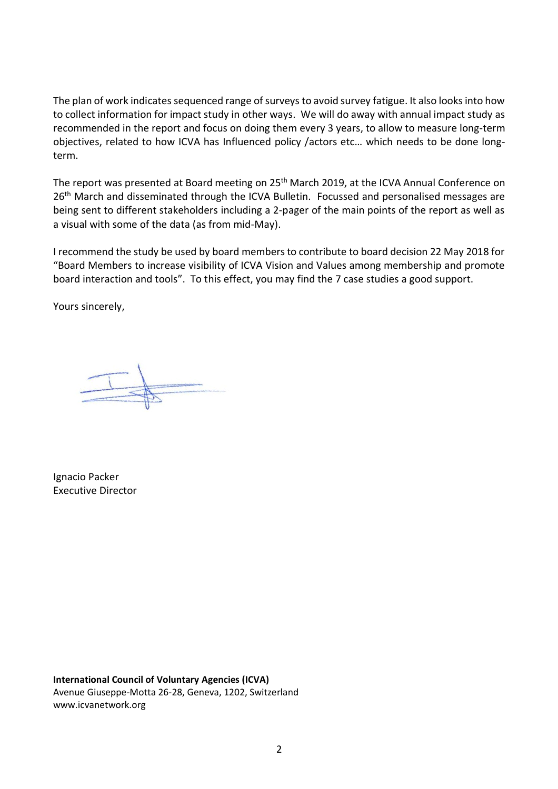The plan of work indicates sequenced range of surveys to avoid survey fatigue. It also looks into how to collect information for impact study in other ways. We will do away with annual impact study as recommended in the report and focus on doing them every 3 years, to allow to measure long-term objectives, related to how ICVA has Influenced policy /actors etc… which needs to be done longterm.

The report was presented at Board meeting on 25<sup>th</sup> March 2019, at the ICVA Annual Conference on 26<sup>th</sup> March and disseminated through the ICVA Bulletin. Focussed and personalised messages are being sent to different stakeholders including a 2-pager of the main points of the report as well as a visual with some of the data (as from mid-May).

I recommend the study be used by board members to contribute to board decision 22 May 2018 for "Board Members to increase visibility of ICVA Vision and Values among membership and promote board interaction and tools". To this effect, you may find the 7 case studies a good support.

Yours sincerely,

Ignacio Packer Executive Director

**International Council of Voluntary Agencies (ICVA)** Avenue Giuseppe-Motta 26-28, Geneva, 1202, Switzerland www.icvanetwork.org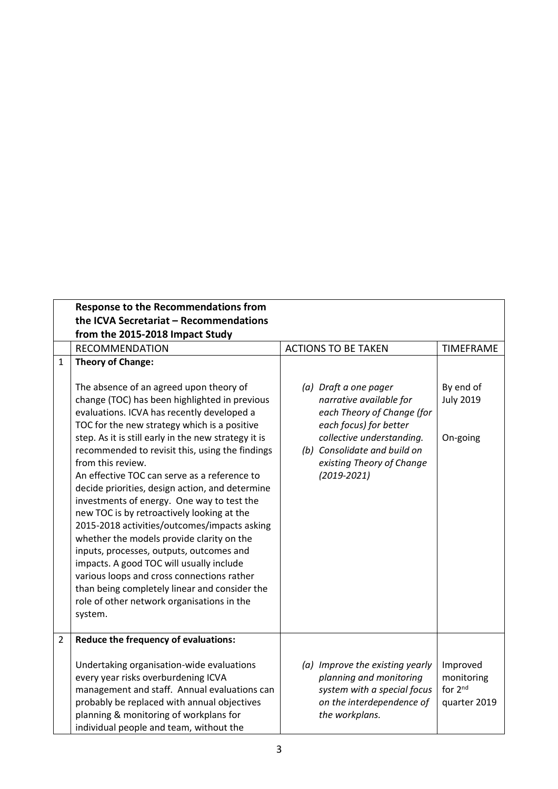|                | <b>Response to the Recommendations from</b>                                                                                                                                                                                                                                                                                                                                                                                                                                                                                                                                                                                                                                                                                                                                                                                                                        |                                                                                                                                                                                                                       |                                                   |  |  |
|----------------|--------------------------------------------------------------------------------------------------------------------------------------------------------------------------------------------------------------------------------------------------------------------------------------------------------------------------------------------------------------------------------------------------------------------------------------------------------------------------------------------------------------------------------------------------------------------------------------------------------------------------------------------------------------------------------------------------------------------------------------------------------------------------------------------------------------------------------------------------------------------|-----------------------------------------------------------------------------------------------------------------------------------------------------------------------------------------------------------------------|---------------------------------------------------|--|--|
|                | the ICVA Secretariat - Recommendations                                                                                                                                                                                                                                                                                                                                                                                                                                                                                                                                                                                                                                                                                                                                                                                                                             |                                                                                                                                                                                                                       |                                                   |  |  |
|                | from the 2015-2018 Impact Study                                                                                                                                                                                                                                                                                                                                                                                                                                                                                                                                                                                                                                                                                                                                                                                                                                    |                                                                                                                                                                                                                       |                                                   |  |  |
|                | <b>RECOMMENDATION</b>                                                                                                                                                                                                                                                                                                                                                                                                                                                                                                                                                                                                                                                                                                                                                                                                                                              | <b>ACTIONS TO BE TAKEN</b>                                                                                                                                                                                            | <b>TIMEFRAME</b>                                  |  |  |
| 1              | <b>Theory of Change:</b>                                                                                                                                                                                                                                                                                                                                                                                                                                                                                                                                                                                                                                                                                                                                                                                                                                           |                                                                                                                                                                                                                       |                                                   |  |  |
|                | The absence of an agreed upon theory of<br>change (TOC) has been highlighted in previous<br>evaluations. ICVA has recently developed a<br>TOC for the new strategy which is a positive<br>step. As it is still early in the new strategy it is<br>recommended to revisit this, using the findings<br>from this review.<br>An effective TOC can serve as a reference to<br>decide priorities, design action, and determine<br>investments of energy. One way to test the<br>new TOC is by retroactively looking at the<br>2015-2018 activities/outcomes/impacts asking<br>whether the models provide clarity on the<br>inputs, processes, outputs, outcomes and<br>impacts. A good TOC will usually include<br>various loops and cross connections rather<br>than being completely linear and consider the<br>role of other network organisations in the<br>system. | (a) Draft a one pager<br>narrative available for<br>each Theory of Change (for<br>each focus) for better<br>collective understanding.<br>(b) Consolidate and build on<br>existing Theory of Change<br>$(2019 - 2021)$ | By end of<br><b>July 2019</b><br>On-going         |  |  |
| $\overline{2}$ | Reduce the frequency of evaluations:<br>Undertaking organisation-wide evaluations<br>every year risks overburdening ICVA<br>management and staff. Annual evaluations can<br>probably be replaced with annual objectives<br>planning & monitoring of workplans for                                                                                                                                                                                                                                                                                                                                                                                                                                                                                                                                                                                                  | (a) Improve the existing yearly<br>planning and monitoring<br>system with a special focus<br>on the interdependence of<br>the workplans.                                                                              | Improved<br>monitoring<br>for 2nd<br>quarter 2019 |  |  |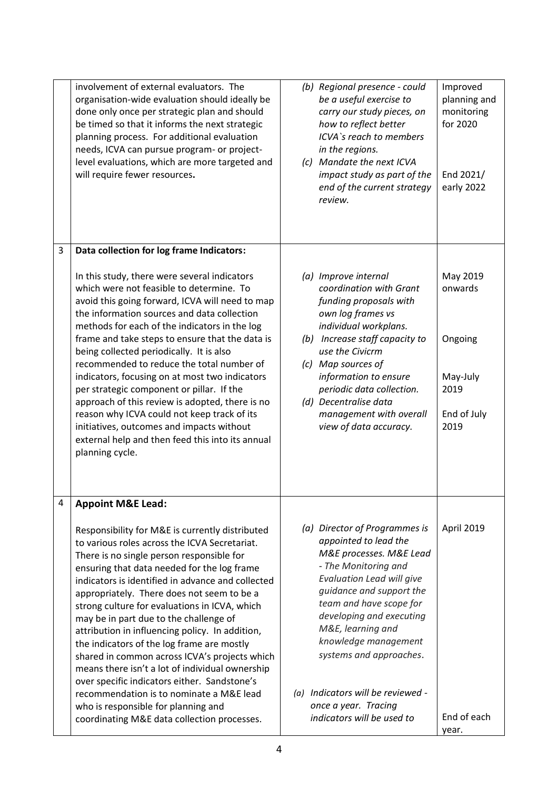|   | involvement of external evaluators. The<br>organisation-wide evaluation should ideally be<br>done only once per strategic plan and should<br>be timed so that it informs the next strategic<br>planning process. For additional evaluation<br>needs, ICVA can pursue program- or project-<br>level evaluations, which are more targeted and<br>will require fewer resources.                                                                                                                                                                                                                                                                                                                                                                                                                                      | Improved<br>(b) Regional presence - could<br>planning and<br>be a useful exercise to<br>monitoring<br>carry our study pieces, on<br>for 2020<br>how to reflect better<br>ICVA's reach to members<br>in the regions.<br>(c) Mandate the next ICVA<br>End 2021/<br>impact study as part of the<br>early 2022<br>end of the current strategy<br>review.                                                                               |
|---|-------------------------------------------------------------------------------------------------------------------------------------------------------------------------------------------------------------------------------------------------------------------------------------------------------------------------------------------------------------------------------------------------------------------------------------------------------------------------------------------------------------------------------------------------------------------------------------------------------------------------------------------------------------------------------------------------------------------------------------------------------------------------------------------------------------------|------------------------------------------------------------------------------------------------------------------------------------------------------------------------------------------------------------------------------------------------------------------------------------------------------------------------------------------------------------------------------------------------------------------------------------|
| 3 | Data collection for log frame Indicators:<br>In this study, there were several indicators<br>which were not feasible to determine. To<br>avoid this going forward, ICVA will need to map<br>the information sources and data collection<br>methods for each of the indicators in the log<br>frame and take steps to ensure that the data is<br>being collected periodically. It is also<br>recommended to reduce the total number of<br>indicators, focusing on at most two indicators<br>per strategic component or pillar. If the<br>approach of this review is adopted, there is no<br>reason why ICVA could not keep track of its<br>initiatives, outcomes and impacts without<br>external help and then feed this into its annual<br>planning cycle.                                                         | May 2019<br>(a) Improve internal<br>coordination with Grant<br>onwards<br>funding proposals with<br>own log frames vs<br>individual workplans.<br>(b) Increase staff capacity to<br>Ongoing<br>use the Civicrm<br>(c) Map sources of<br>information to ensure<br>May-July<br>periodic data collection.<br>2019<br>(d) Decentralise data<br>End of July<br>management with overall<br>view of data accuracy.<br>2019                |
| 4 | <b>Appoint M&amp;E Lead:</b><br>Responsibility for M&E is currently distributed<br>to various roles across the ICVA Secretariat.<br>There is no single person responsible for<br>ensuring that data needed for the log frame<br>indicators is identified in advance and collected<br>appropriately. There does not seem to be a<br>strong culture for evaluations in ICVA, which<br>may be in part due to the challenge of<br>attribution in influencing policy. In addition,<br>the indicators of the log frame are mostly<br>shared in common across ICVA's projects which<br>means there isn't a lot of individual ownership<br>over specific indicators either. Sandstone's<br>recommendation is to nominate a M&E lead<br>who is responsible for planning and<br>coordinating M&E data collection processes. | (a) Director of Programmes is<br>April 2019<br>appointed to lead the<br>M&E processes. M&E Lead<br>- The Monitoring and<br>Evaluation Lead will give<br>guidance and support the<br>team and have scope for<br>developing and executing<br>M&E, learning and<br>knowledge management<br>systems and approaches.<br>(a) Indicators will be reviewed -<br>once a year. Tracing<br>End of each<br>indicators will be used to<br>year. |